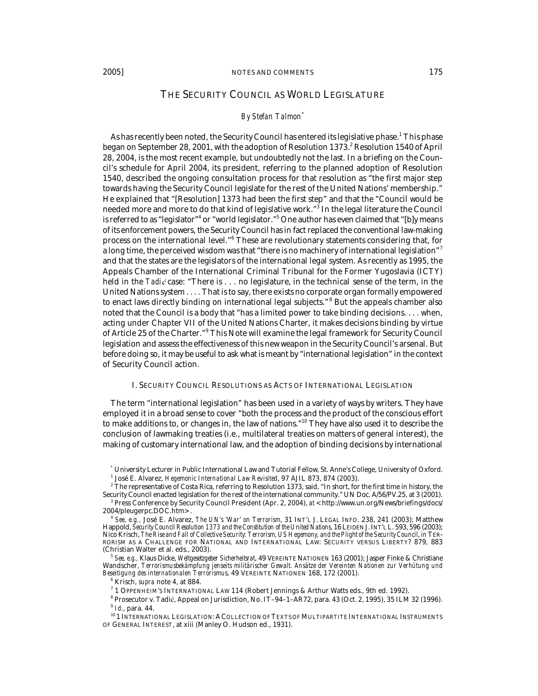# THE SECURITY COUNCIL AS WORLD LEGISLATURE

# *[By Stefan Talmon](http://users.ox.ac.uk/~sann2029/)*\*

As has recently been noted, the Security Council has entered its legislative phase.<sup>1</sup> This phase began on September 28, 2001, with the adoption of Resolution 1373.<sup>2</sup> Resolution 1540 of April 28, 2004, is the most recent example, but undoubtedly not the last. In a briefing on the Council's schedule for April 2004, its president, referring to the planned adoption of Resolution 1540, described the ongoing consultation process for that resolution as "the first major step towards having the Security Council legislate for the rest of the United Nations' membership." He explained that "[Resolution] 1373 had been the first step" and that the "Council would be needed more and more to do that kind of legislative work."<sup>3</sup> In the legal literature the Council is referred to as "legislator"<sup>4</sup> or "world legislator."<sup>5</sup> One author has even claimed that "[b]y means of its enforcement powers, the Security Council has in fact replaced the conventional law-making process on the international level."<sup>6</sup> These are revolutionary statements considering that, for a long time, the perceived wisdom was that "there is no machinery of international legislation"<sup>7</sup> and that the states are the legislators of the international legal system. As recently as 1995, the Appeals Chamber of the International Criminal Tribunal for the Former Yugoslavia (ICTY) held in the *Tadić* case: "There is . . . no legislature, in the technical sense of the term, in the United Nations system . . . . That is to say, there exists no corporate organ formally empowered to enact laws directly binding on international legal subjects." <sup>8</sup> But the appeals chamber also noted that the Council is a body that "has a limited power to take binding decisions. . . . when, acting under Chapter VII of the United Nations Charter, it makes decisions binding by virtue of Article 25 of the Charter."<sup>9</sup> This Note will examine the legal framework for Security Council legislation and assess the effectiveness of this new weapon in the Security Council's arsenal. But before doing so, it may be useful to ask what is meant by "international legislation" in the context of Security Council action.

## I. SECURITY COUNCIL RESOLUTIONS AS ACTS OF INTERNATIONAL LEGISLATION

The term "international legislation" has been used in a variety of ways by writers. They have employed it in a broad sense to cover "both the process and the product of the conscious effort to make additions to, or changes in, the law of nations."10 They have also used it to describe the conclusion of lawmaking treaties (i.e., multilateral treaties on matters of general interest), the making of customary international law, and the adoption of binding decisions by international

<sup>5</sup> *See, e.g.,* Klaus Dicke, *Weltgesetzgeber Sicherheitsrat*, 49 VEREINTE NATIONEN 163 (2001); Jasper Finke & Christiane Wandscher, *Terrorismusbekämpfung jenseits militärischer Gewalt. Ansätze der Vereinten Nationen zur Verhütung und Beseitigung des internationalen Terrorismus*, 49 VEREINTE NATIONEN 168, 172 (2001).

<sup>\*</sup> University Lecturer in Public International Law and Tutorial Fellow, St. Anne's College, University of Oxford. <sup>1</sup> José E. Alvarez, *Hegemonic International Law Revisited*, 97 AJIL 873, 874 (2003).

 $^2$  The representative of Costa Rica, referring to Resolution 1373, said, "In short, for the first time in history, the Security Council enacted legislation for the rest of the international community." UN Doc. A/56/PV.25, at 3 (2001).

<sup>&</sup>lt;sup>3</sup> Press Conference by Security Council President (Apr. 2, 2004), *at* < http://www.un.org/News/briefings/docs/ 2004/pleugerpc.DOC.htm>. 4 *See, e.g.,* José E. Alvarez, *The UN's 'War' on Terrorism*, 31 INT'L J. LEGAL INFO. 238, 241 (2003); Matthew

Happold, *Security Council Resolution 1373 and the Constitution of the United Nations*, 16 LEIDEN J.INT'L L. 593, 596 (2003); Nico Krisch, *The Rise and Fall of Collective Security: Terrorism, US Hegemony, and the Plight of the Security Council*, *in* TER-RORISM AS A CHALLENGE FOR NATIONAL AND INTERNATIONAL LAW: SECURITY VERSUS LIBERTY? 879, 883 (Christian Walter et al. eds., 2003).

<sup>6</sup> Krisch, *supra* note 4, at 884.

<sup>7</sup> 1 OPPENHEIM'S INTERNATIONAL LAW 114 (Robert Jennings & Arthur Watts eds., 9th ed. 1992).

<sup>&</sup>lt;sup>8</sup> Prosecutor v. Tadić, Appeal on Jurisdiction, No. IT-94-1-AR72, para. 43 (Oct. 2, 1995), 35 ILM 32 (1996). 9  *Id.*, para. 44.

<sup>&</sup>lt;sup>10</sup> 1 INTERNATIONAL LEGISLATION: A COLLECTION OF TEXTS OF MULTIPARTITE INTERNATIONAL INSTRUMENTS OF GENERAL INTEREST, at xiii (Manley O. Hudson ed., 1931).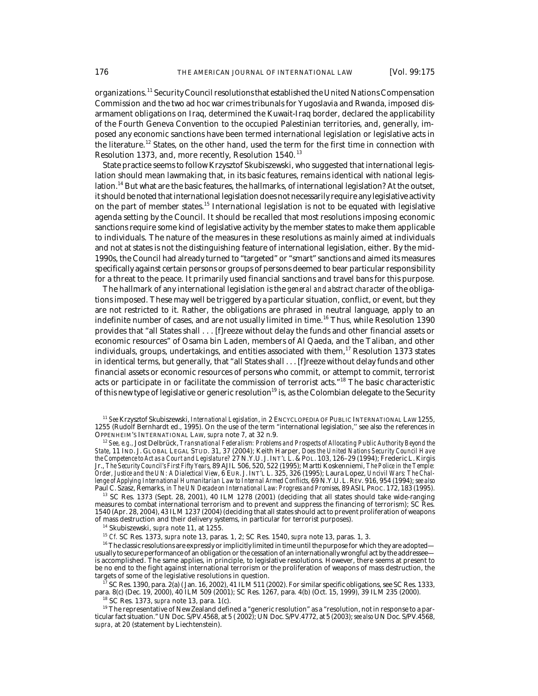organizations.<sup>11</sup> Security Council resolutions that established the United Nations Compensation Commission and the two ad hoc war crimes tribunals for Yugoslavia and Rwanda, imposed disarmament obligations on Iraq, determined the Kuwait-Iraq border, declared the applicability of the Fourth Geneva Convention to the occupied Palestinian territories, and, generally, imposed any economic sanctions have been termed international legislation or legislative acts in the literature.<sup>12</sup> States, on the other hand, used the term for the first time in connection with Resolution 1373, and, more recently, Resolution 1540.<sup>13</sup>

State practice seems to follow Krzysztof Skubiszewski, who suggested that international legislation should mean lawmaking that, in its basic features, remains identical with national legislation.<sup>14</sup> But what are the basic features, the hallmarks, of international legislation? At the outset, it should be noted that international legislation does not necessarily require any legislative activity on the part of member states.<sup>15</sup> International legislation is not to be equated with legislative agenda setting by the Council. It should be recalled that most resolutions imposing economic sanctions require some kind of legislative activity by the member states to make them applicable to individuals. The nature of the measures in these resolutions as mainly aimed at individuals and not at states is not the distinguishing feature of international legislation, either. By the mid-1990s, the Council had already turned to "targeted" or "smart" sanctions and aimed its measures specifically against certain persons or groups of persons deemed to bear particular responsibility for a threat to the peace. It primarily used financial sanctions and travel bans for this purpose.

The hallmark of any international legislation is the *general and abstract character* of the obligations imposed. These may well be triggered by a particular situation, conflict, or event, but they are not restricted to it. Rather, the obligations are phrased in neutral language, apply to an indefinite number of cases, and are not usually limited in time.<sup>16</sup> Thus, while Resolution 1390 provides that "all States shall . . . [f]reeze without delay the funds and other financial assets or economic resources" of Osama bin Laden, members of Al Qaeda, and the Taliban, and other individuals, groups, undertakings, and entities associated with them,  $17$  Resolution 1373 states in identical terms, but generally, that "all States shall . . . [f]reeze without delay funds and other financial assets or economic resources of persons who commit, or attempt to commit, terrorist acts or participate in or facilitate the commission of terrorist acts."<sup>18</sup> The basic characteristic of this new type of legislative or generic resolution $19$  is, as the Colombian delegate to the Security

18 SC Res. 1373, *supra* note 13, para. 1(c).

<sup>11</sup> *See* Krzysztof Skubiszewski, *International Legislation*, *in* 2 ENCYCLOPEDIA OF PUBLIC INTERNATIONAL LAW 1255, 1255 (Rudolf Bernhardt ed., 1995). On the use of the term "international legislation,'' see also the references in OPPENHEIM'S INTERNATIONAL LAW, *supra* note 7, at 32 n.9.

<sup>12</sup> *See, e.g.,* Jost Delbrück, *Transnational Federalism: Problems and Prospects of Allocating Public Authority Beyond the State*, 11 IND. J. GLOBAL LEGAL STUD. 31, 37 (2004); Keith Harper, *Does the United Nations Security Council Have the Competence to Act as a Court and Legislature?* 27 N.Y.U. J.INT'L L.& POL. 103, 126–29 (1994); Frederic L. Kirgis Jr., *The Security Council's First Fifty Years*, 89 AJIL 506, 520, 522 (1995); Martti Koskenniemi, *The Police in the Temple: Order, Justice and the UN: A Dialectical View*, 6 EUR. J.INT'L L. 325, 326 (1995); Laura Lopez, *Uncivil Wars: The Challenge of Applying International Humanitarian Law to Internal Armed Conflicts*, 69 N.Y.U.L. REV. 916, 954 (1994); *see also* Paul C. Szasz, Remarks, *in The UN Decade on International Law: Progress and Promises*, 89 ASILPROC. 172, 183 (1995).

<sup>&</sup>lt;sup>13</sup> SC Res. 1373 (Sept. 28, 2001), 40 ILM 1278 (2001) (deciding that all states should take wide-ranging measures to combat international terrorism and to prevent and suppress the financing of terrorism); SC Res. 1540 (Apr. 28, 2004), 43 ILM 1237 (2004) (deciding that all states should act to prevent proliferation of weapons of mass destruction and their delivery systems, in particular for terrorist purposes).

<sup>14</sup> Skubiszewski, *supra* note 11, at 1255.

<sup>15</sup> *Cf.* SC Res. 1373, *supra* note 13, paras. 1, 2; SC Res. 1540, *supra* note 13, paras. 1, 3.

<sup>&</sup>lt;sup>16</sup> The classic resolutions are expressly or implicitly limited in time until the purpose for which they are adopted usually to secure performance of an obligation or the cessation of an internationally wrongful act by the addressee is accomplished. The same applies, in principle, to legislative resolutions. However, there seems at present to be no end to the fight against international terrorism or the proliferation of weapons of mass destruction, the targets of some of the legislative resolutions in question.

 $17$  SC Res. 1390, para. 2(a) (Jan. 16, 2002), 41 ILM 511 (2002). For similar specific obligations, see SC Res. 1333, para. 8(c) (Dec. 19, 2000), 40 ILM 509 (2001); SC Res. 1267, para. 4(b) (Oct. 15, 1999), 39 ILM 235 (2000).

<sup>&</sup>lt;sup>19</sup> The representative of New Zealand defined a "generic resolution" as a "resolution, not in response to a particular fact situation." UN Doc. S/PV.4568, at 5 ( 2002); UN Doc. S/PV.4772, at 5 (2003); *see also* UN Doc. S/PV.4568, *supra*, at 20 (statement by Liechtenstein).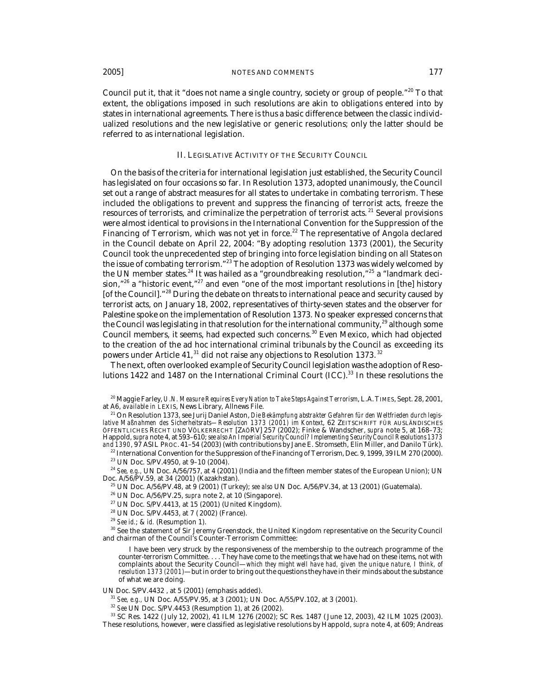Council put it, that it "does not name a single country, society or group of people."<sup>20</sup> To that extent, the obligations imposed in such resolutions are akin to obligations entered into by states in international agreements. There is thus a basic difference between the classic individualized resolutions and the new legislative or generic resolutions; only the latter should be referred to as international legislation.

## II. LEGISLATIVE ACTIVITY OF THE SECURITY COUNCIL

On the basis of the criteria for international legislation just established, the Security Council has legislated on four occasions so far. In Resolution 1373, adopted unanimously, the Council set out a range of abstract measures for all states to undertake in combating terrorism. These included the obligations to prevent and suppress the financing of terrorist acts, freeze the resources of terrorists, and criminalize the perpetration of terrorist acts. 21 Several provisions were almost identical to provisions in the International Convention for the Suppression of the Financing of Terrorism, which was not yet in force.<sup>22</sup> The representative of Angola declared in the Council debate on April 22, 2004: "By adopting resolution 1373 (2001), the Security Council took the unprecedented step of bringing into force legislation binding on all States on the issue of combating terrorism."<sup>23</sup> The adoption of Resolution 1373 was widely welcomed by the UN member states. $^{24}$  It was hailed as a "groundbreaking resolution," $^{25}$  a "landmark decision,"<sup>26</sup> a "historic event,"<sup>27</sup> and even "one of the most important resolutions in [the] history [of the Council]."<sup>28</sup> During the debate on threats to international peace and security caused by terrorist acts, on January 18, 2002, representatives of thirty-seven states and the observer for Palestine spoke on the implementation of Resolution 1373. No speaker expressed concerns that the Council was legislating in that resolution for the international community,<sup>29</sup> although some Council members, it seems, had expected such concerns.<sup>30</sup> Even Mexico, which had objected to the creation of the ad hoc international criminal tribunals by the Council as exceeding its powers under Article 41, $^{31}$  did not raise any objections to Resolution 1373.  $^{32}$ 

The next, often overlooked example of Security Council legislation was the adoption of Resolutions 1422 and 1487 on the International Criminal Court (ICC).<sup>33</sup> In these resolutions the

20 Maggie Farley, *U.N. Measure Requires Every Nation to Take Steps Against Terrorism*, L.A. TIMES, Sept. 28, 2001, at A6, *available in* LEXIS, News Library, Allnews File.

21 On Resolution 1373, see Jurij Daniel Aston, *Die Bekämpfung abstrakter Gefahren für den Weltfrieden durch legislative Maßnahmen des Sicherheitsrats—Resolution 1373 (2001) im Kontext*, 62 ZEITSCHRIFT FÜR AUSLÄNDISCHES ÖFFENTLICHES RECHT UND VÖLKERRECHT [ZAÖRV] 257 (2002); Finke & Wandscher, *supra* note 5, at 168–73; Happold, *supra* note 4, at 593–610; *see also An Imperial Security Council? Implementing Security Council Resolutions 1373 and 1390*, 97 ASIL PROC. 41–54 (2003) (with contributions by Jane E. Stromseth, Elin Miller, and Danilo Türk).

 $^{22}$  International Convention for the Suppression of the Financing of Terrorism, Dec. 9, 1999, 39 ILM 270 (2000). 23 UN Doc. S/PV.4950, at 9–10 (2004).

<sup>24</sup> *See, e.g.,* UN Doc. A/56/757, at 4 (2001) (India and the fifteen member states of the European Union); UN Doc. A/56/PV.59, at 34 (2001) (Kazakhstan).

25 UN Doc. A/56/PV.48, at 9 (2001) (Turkey); *see also* UN Doc. A/56/PV.34, at 13 (2001) (Guatemala).

26 UN Doc. A/56/PV.25, *supra* note 2, at 10 (Singapore).

 $27$  UN Doc. S/PV.4413, at 15 (2001) (United Kingdom).

28 UN Doc. S/PV.4453, at 7 ( 2002) (France).

<sup>29</sup> *See id.*; & *id.* (Resumption 1).

<sup>30</sup> See the statement of Sir Jeremy Greenstock, the United Kingdom representative on the Security Council and chairman of the Council's Counter-Terrorism Committee:

 I have been very struck by the responsiveness of the membership to the outreach programme of the counter-terrorism Committee. . . . They have come to the meetings that we have had on these items, not with complaints about the Security Council—*which they might well have had, given the unique nature, I think, of resolution 1373 (2001)*—but in order to bring out the questions they have in their minds about the substance of what we are doing.

UN Doc. S/PV.4432 , at 5 (2001) (emphasis added).

<sup>31</sup> *See, e.g.,* UN Doc. A/55/PV.95, at 3 (2001); UN Doc. A/55/PV.102, at 3 (2001).

<sup>32</sup> *See* UN Doc. S/PV.4453 (Resumption 1), at 26 (2002).

33 SC Res. 1422 ( July 12, 2002), 41 ILM 1276 (2002); SC Res. 1487 ( June 12, 2003), 42 ILM 1025 (2003). These resolutions, however, were classified as legislative resolutions by Happold, *supra* note 4, at 609; Andreas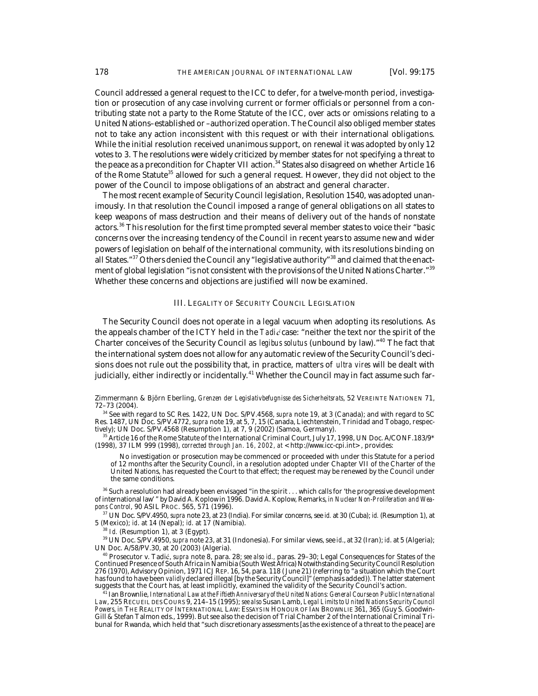Council addressed a general request to the ICC to defer, for a twelve-month period, investigation or prosecution of any case involving current or former officials or personnel from a contributing state not a party to the Rome Statute of the ICC, over acts or omissions relating to a United Nations–established or –authorized operation. The Council also obliged member states not to take any action inconsistent with this request or with their international obligations. While the initial resolution received unanimous support, on renewal it was adopted by only 12 votes to 3. The resolutions were widely criticized by member states for not specifying a threat to the peace as a precondition for Chapter VII action.<sup>34</sup> States also disagreed on whether Article 16 of the Rome Statute<sup>35</sup> allowed for such a general request. However, they did not object to the power of the Council to impose obligations of an abstract and general character.

The most recent example of Security Council legislation, Resolution 1540, was adopted unanimously. In that resolution the Council imposed a range of general obligations on all states to keep weapons of mass destruction and their means of delivery out of the hands of nonstate actors.36 This resolution for the first time prompted several member states to voice their "basic concerns over the increasing tendency of the Council in recent years to assume new and wider powers of legislation on behalf of the international community, with its resolutions binding on all States."<sup>37</sup> Others denied the Council any "legislative authority"<sup>38</sup> and claimed that the enactment of global legislation "is not consistent with the provisions of the United Nations Charter."<sup>39</sup> Whether these concerns and objections are justified will now be examined.

### III. LEGALITY OF SECURITY COUNCIL LEGISLATION

The Security Council does not operate in a legal vacuum when adopting its resolutions. As the appeals chamber of the ICTY held in the *Tadić* case: "neither the text nor the spirit of the Charter conceives of the Security Council as *legibus solutus* (unbound by law)."40 The fact that the international system does not allow for any automatic review of the Security Council's decisions does not rule out the possibility that, in practice, matters of *ultra vires* will be dealt with judicially, either indirectly or incidentally.<sup>41</sup> Whether the Council may in fact assume such far-

Zimmermann & Björn Eberling, *Grenzen der Legislativbefugnisse des Sicherheitsrats*, 52 VEREINTE NATIONEN 71, 72–73 (2004).

34 See with regard to SC Res. 1422, UN Doc. S/PV.4568, *supra* note 19, at 3 (Canada); and with regard to SC Res. 1487, UN Doc. S/PV.4772, *supra* note 19, at 5, 7, 15 (Canada, Liechtenstein, Trinidad and Tobago, respectively); UN Doc. S/PV.4568 (Resumption 1), at 7, 9 (2002) (Samoa, Germany).

 $35$  Article 16 of the Rome Statute of the International Criminal Court, July 17, 1998, UN Doc. A/CONF.183/9\* (1998), 37 ILM 999 (1998), *corrected through Jan. 16, 2002, at* <http://www.icc-cpi.int>, provides:

 No investigation or prosecution may be commenced or proceeded with under this Statute for a period of 12 months after the Security Council, in a resolution adopted under Chapter VII of the Charter of the United Nations, has requested the Court to that effect; the request may be renewed by the Council under the same conditions.

 $36$  Such a resolution had already been envisaged "in the spirit . . . which calls for 'the progressive development of international law' " by David A. Koplow in 1996. David A. Koplow, Remarks, *in Nuclear Non-Proliferation and Weapons Control*, 90 ASIL PROC. 565, 571 (1996).

37 UN Doc. S/PV.4950, *supra* note 23, at 23 (India). For similar concerns, see *id.* at 30 (Cuba); *id.* (Resumption 1), at 5 (Mexico); *id*. at 14 (Nepal); *id*. at 17 (Namibia).

<sup>38</sup> *Id.* (Resumption 1), at 3 (Egypt).

39 UN Doc. S/PV.4950, *supra* note 23, at 31 (Indonesia). For similar views, see *id*., at 32 (Iran); *id*. at 5 (Algeria); UN Doc. A/58/PV.30, at 20 (2003) (Algeria).

<sup>40</sup> Prosecutor v. Tadić, *supra* note 8, para. 28; *see also id.,* paras. 29-30; Legal Consequences for States of the Continued Presence of South Africa in Namibia (South West Africa) Notwithstanding Security Council Resolution 276 (1970), Advisory Opinion, 1971 ICJ REP. 16, 54, para. 118 ( June 21) (referring to "a situation which the Court has found to have been *validly* declared illegal [by the Security Council]" (emphasis added)). The latter statement suggests that the Court has, at least implicitly, examined the validity of the Security Council's action.

 $^{\rm I}$  Ian Brownlie, *International Law at the Fiftieth Anniversary of the United Nations: General Course on Public International Law*, 255 RECUEIL DES COURS 9, 214–15 (1995); *see also* Susan Lamb, *Legal Limits to United Nations Security Council Powers*, *in* THE REALITY OF INTERNATIONAL LAW: ESSAYS IN HONOUR OF IAN BROWNLIE 361, 365 (Guy S. Goodwin-Gill & Stefan Talmon eds., 1999). But see also the decision of Trial Chamber 2 of the International Criminal Tribunal for Rwanda, which held that "such discretionary assessments [as the existence of a threat to the peace] are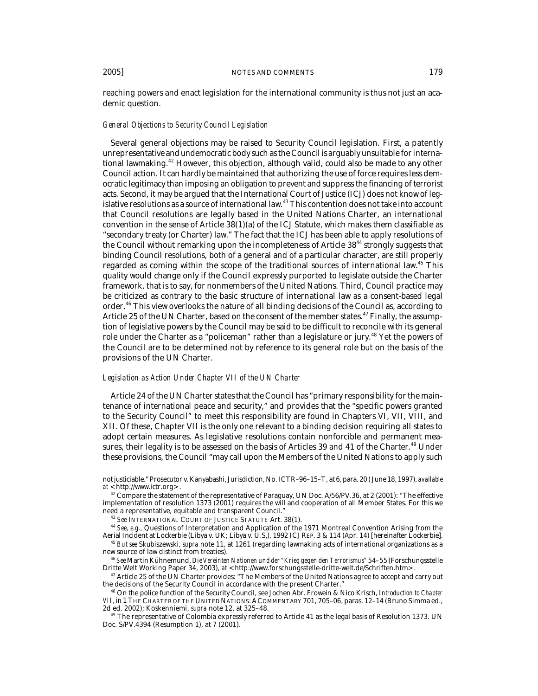reaching powers and enact legislation for the international community is thus not just an academic question.

#### *General Objections to Security Council Legislation*

Several general objections may be raised to Security Council legislation. First, a patently unrepresentative and undemocratic body such as the Council is arguably unsuitable for international lawmaking.<sup>42</sup> However, this objection, although valid, could also be made to any other Council action. It can hardly be maintained that authorizing the use of force requires less democratic legitimacy than imposing an obligation to prevent and suppress the financing of terrorist acts. Second, it may be argued that the International Court of Justice (ICJ) does not know of legislative resolutions as a source of international law.<sup>43</sup> This contention does not take into account that Council resolutions are legally based in the United Nations Charter, an international convention in the sense of Article 38(1)(a) of the ICJ Statute, which makes them classifiable as "secondary treaty (or Charter) law." The fact that the ICJ has been able to apply resolutions of the Council without remarking upon the incompleteness of Article  $38<sup>44</sup>$  strongly suggests that binding Council resolutions, both of a general and of a particular character, are still properly regarded as coming within the scope of the traditional sources of international law.45 This quality would change only if the Council expressly purported to legislate outside the Charter framework, that is to say, for nonmembers of the United Nations. Third, Council practice may be criticized as contrary to the basic structure of international law as a consent-based legal order.46 This view overlooks the nature of all binding decisions of the Council as, according to Article 25 of the UN Charter, based on the consent of the member states.<sup>47</sup> Finally, the assumption of legislative powers by the Council may be said to be difficult to reconcile with its general role under the Charter as a "policeman" rather than a legislature or jury.<sup>48</sup> Yet the powers of the Council are to be determined not by reference to its general role but on the basis of the provisions of the UN Charter.

## *Legislation as Action Under Chapter VII of the UN Charter*

Article 24 of the UN Charter states that the Council has "primary responsibility for the maintenance of international peace and security," and provides that the "specific powers granted to the Security Council" to meet this responsibility are found in Chapters VI, VII, VIII, and XII. Of these, Chapter VII is the only one relevant to a binding decision requiring all states to adopt certain measures. As legislative resolutions contain nonforcible and permanent measures, their legality is to be assessed on the basis of Articles 39 and 41 of the Charter.<sup>49</sup> Under these provisions, the Council "may call upon the Members of the United Nations to apply such

<sup>43</sup> *See* INTERNATIONAL COURT OF JUSTICE STATUTE Art. 38(1).

<sup>44</sup> *See, e.g.,* Questions of Interpretation and Application of the 1971 Montreal Convention Arising from the Aerial Incident at Lockerbie (Libya v. UK; Libya v. U.S,), 1992 ICJ REP. 3 & 114 (Apr. 14) [hereinafter Lockerbie].

<sup>45</sup> *But see* Skubiszewski, *supra* note 11, at 1261 (regarding lawmaking acts of international organizations as a new source of law distinct from treaties).

<sup>46</sup> *See* Martin Kühnemund, *Die Vereinten Nationen und der "Krieg gegen den Terrorismus"* 54–55 (Forschungsstelle Dritte Welt Working Paper 34, 2003), *at* < http://www.forschungsstelle-dritte-welt.de/Schriften.htm>.

 $^{47}$  Article 25 of the UN Charter provides: "The Members of the United Nations agree to accept and carry out the decisions of the Security Council in accordance with the present Charter."

48 On the police function of the Security Council, see Jochen Abr. Frowein & Nico Krisch, *Introduction to Chapter VII*, *in* 1 THE CHARTER OF THE UNITED NATIONS:ACOMMENTARY 701, 705–06, paras. 12–14 (Bruno Simma ed., 2d ed. 2002); Koskenniemi, *supra* note 12, at 325–48.

 $^{49}$  The representative of Colombia expressly referred to Article 41 as the legal basis of Resolution 1373. UN Doc. S/PV.4394 (Resumption 1), at 7 (2001).

not justiciable." Prosecutor v. Kanyabashi, Jurisdiction, No. ICTR–96–15–T, at 6, para. 20 ( June 18, 1997), *available at* < http://www.ictr.org>.

<sup>&</sup>lt;sup>42</sup> Compare the statement of the representative of Paraguay, UN Doc. A/56/PV.36, at 2 (2001): "The effective implementation of resolution 1373 (2001) requires the will and cooperation of all Member States. For this we need a representative, equitable and transparent Council."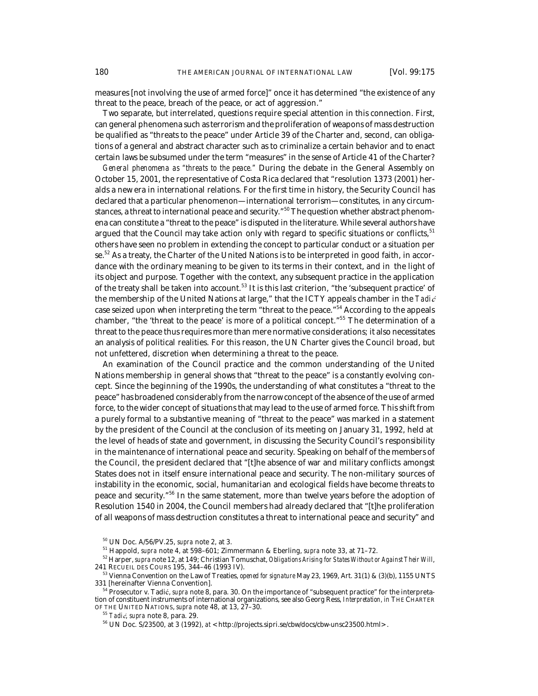measures [not involving the use of armed force]" once it has determined "the existence of any threat to the peace, breach of the peace, or act of aggression."

Two separate, but interrelated, questions require special attention in this connection. First, can general phenomena such as terrorism and the proliferation of weapons of mass destruction be qualified as "threats to the peace" under Article 39 of the Charter and, second, can obligations of a general and abstract character such as to criminalize a certain behavior and to enact certain laws be subsumed under the term "measures" in the sense of Article 41 of the Charter?

*General phenomena as "threats to the peace."* During the debate in the General Assembly on October 15, 2001, the representative of Costa Rica declared that "resolution 1373 (2001) heralds a new era in international relations. For the first time in history, the Security Council has declared that a particular phenomenon—international terrorism—constitutes, in any circumstances, a threat to international peace and security."<sup>50</sup> The question whether abstract phenomena can constitute a "threat to the peace" is disputed in the literature. While several authors have argued that the Council may take action only with regard to specific situations or conflicts,  $51$ others have seen no problem in extending the concept to particular conduct or a situation per se.<sup>52</sup> As a treaty, the Charter of the United Nations is to be interpreted in good faith, in accordance with the ordinary meaning to be given to its terms in their context, and in the light of its object and purpose. Together with the context, any subsequent practice in the application of the treaty shall be taken into account.<sup>53</sup> It is this last criterion, "the 'subsequent practice' of the membership of the United Nations at large," that the ICTY appeals chamber in the *Tadić* case seized upon when interpreting the term "threat to the peace."<sup>54</sup> According to the appeals chamber, "the 'threat to the peace' is more of a political concept."55 The determination of a threat to the peace thus requires more than mere normative considerations; it also necessitates an analysis of political realities. For this reason, the UN Charter gives the Council broad, but not unfettered, discretion when determining a threat to the peace.

An examination of the Council practice and the common understanding of the United Nations membership in general shows that "threat to the peace" is a constantly evolving concept. Since the beginning of the 1990s, the understanding of what constitutes a "threat to the peace" has broadened considerably from the narrow concept of the absence of the use of armed force, to the wider concept of situations that may lead to the use of armed force. This shift from a purely formal to a substantive meaning of "threat to the peace" was marked in a statement by the president of the Council at the conclusion of its meeting on January 31, 1992, held at the level of heads of state and government, in discussing the Security Council's responsibility in the maintenance of international peace and security. Speaking on behalf of the members of the Council, the president declared that "[t]he absence of war and military conflicts amongst States does not in itself ensure international peace and security. The non-military sources of instability in the economic, social, humanitarian and ecological fields have become threats to peace and security."56 In the same statement, more than twelve years before the adoption of Resolution 1540 in 2004, the Council members had already declared that "[t]he proliferation of all weapons of mass destruction constitutes a threat to international peace and security" and

<sup>50</sup> UN Doc. A/56/PV.25, *supra* note 2, at 3.

<sup>51</sup> Happold, *supra* note 4, at 598–601; Zimmermann & Eberling, *supra* note 33, at 71–72.

<sup>52</sup> Harper, *supra* note 12, at 149; Christian Tomuschat, *Obligations Arising for States Without or Against Their Will*, 241 RECUEIL DES COURS 195, 344–46 (1993 IV).

<sup>53</sup> Vienna Convention on the Law of Treaties, *opened for signature* May 23, 1969, Art. 31(1) & (3)(b), 1155 UNTS 331 [hereinafter Vienna Convention].

<sup>&</sup>lt;sup>54</sup> Prosecutor v. Tadić, *supra* note 8, para. 30. On the importance of "subsequent practice" for the interpretation of constituent instruments of international organizations, see also Georg Ress, *Interpretation, in* THE CHARTER OF THE UNITED NATIONS, *supra* note 48, at 13, 27–30.

<sup>55</sup> *Tadi*ƒ, *supra* note 8, para. 29.

 $56$  UN Doc. S/23500, at 3 (1992),  $at$  < http://projects.sipri.se/cbw/docs/cbw-unsc23500.html>.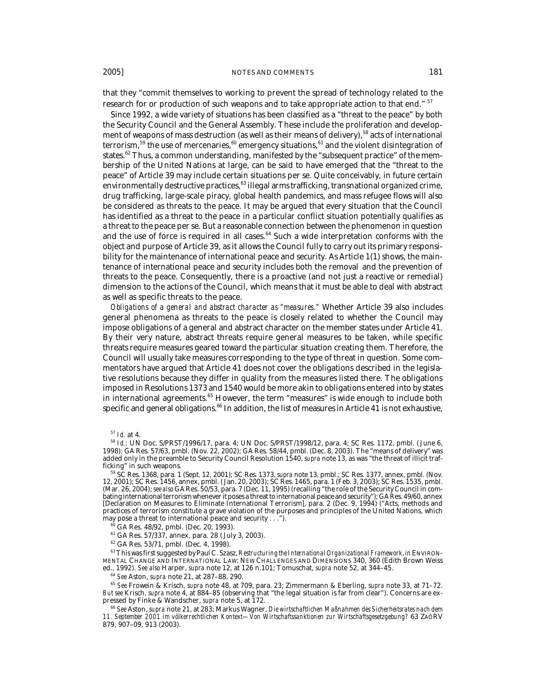that they "commit themselves to working to prevent the spread of technology related to the research for or production of such weapons and to take appropriate action to that end." <sup>57</sup>

Since 1992, a wide variety of situations has been classified as a "threat to the peace" by both the Security Council and the General Assembly. These include the proliferation and development of weapons of mass destruction (as well as their means of delivery),<sup>58</sup> acts of international terrorism,<sup>59</sup> the use of mercenaries,<sup>60</sup> emergency situations,<sup>61</sup> and the violent disintegration of states.<sup>62</sup> Thus, a common understanding, manifested by the "subsequent practice" of the membership of the United Nations at large, can be said to have emerged that the "threat to the peace" of Article 39 may include certain situations per se. Quite conceivably, in future certain environmentally destructive practices,<sup>63</sup> illegal arms trafficking, transnational organized crime, drug trafficking, large-scale piracy, global health pandemics, and mass refugee flows will also be considered as threats to the peace. It may be argued that every situation that the Council has identified as a threat to the peace in a particular conflict situation potentially qualifies as a threat to the peace per se. But a reasonable connection between the phenomenon in question a threat to the peace per set zuck a research and the use of force is required in all cases.<sup>64</sup> Such a wide interpretation conforms with the object and purpose of Article 39, as it allows the Council fully to carry out its primary responsibility for the maintenance of international peace and security. As Article 1(1) shows, the maintenance of international peace and security includes both the removal and the prevention of threats to the peace. Consequently, there is a proactive (and not just a reactive or remedial) dimension to the actions of the Council, which means that it must be able to deal with abstract as well as specific threats to the peace.

*Obligations of a general and abstract character as "measures."* Whether Article 39 also includes general phenomena as threats to the peace is closely related to whether the Council may impose obligations of a general and abstract character on the member states under Article 41. By their very nature, abstract threats require general measures to be taken, while specific threats require measures geared toward the particular situation creating them. Therefore, the Council will usually take measures corresponding to the type of threat in question. Some commentators have argued that Article 41 does not cover the obligations described in the legislative resolutions because they differ in quality from the measures listed there. The obligations imposed in Resolutions 1373 and 1540 would be more akin to obligations entered into by states in international agreements.<sup>65</sup> However, the term "measures" is wide enough to include both specific and general obligations.<sup>66</sup> In addition, the list of measures in Article 41 is not exhaustive,

 $60$  GA Res. 48/92, pmbl. (Dec. 20, 1993).

61 GA Res. 57/337, annex, para. 28 ( July 3, 2003).

62 GA Res. 53/71, pmbl. (Dec. 4, 1998).

63 This was first suggested by Paul C. Szasz, *Restructuring the International Organizational Framework*, *in* ENVIRON-MENTAL CHANGE AND INTERNATIONAL LAW: NEW CHALLENGES AND DIMENSIONS 340, 360 (Edith Brown Weiss ed., 1992). *See also* Harper, *supra* note 12, at 126 n.101; Tomuschat, *supra* note 52, at 344–45.

<sup>64</sup> *See* Aston, *supra* note 21, at 287–88, 290.

<sup>65</sup> *See* Frowein & Krisch, *supra* note 48, at 709, para. 23; Zimmermann & Eberling, *supra* note 33, at 71–72. *But see* Krisch, *supra* note 4, at 884–85 (observing that "the legal situation is far from clear"). Concerns are expressed by Finke & Wandscher, *supra* note 5, at 172.

<sup>66</sup> *See* Aston, *supra* note 21, at 283; Markus Wagner, *Die wirtschaftlichen Maßnahmen des Sicherheitsrates nach dem 11. September 2001 im völkerrechtlichen Kontext—Von Wirtschaftssanktionen zur Wirtschaftsgesetzgebung?* 63 ZAÖRV 879, 907–09, 913 (2003).

<sup>57</sup> *Id.* at 4.

<sup>58</sup> *Id.;* UN Doc. S/PRST/1996/17, para. 4; UN Doc. S/PRST/1998/12, para. 4; SC Res. 1172, pmbl. ( June 6, 1998); GA Res. 57/63, pmbl. (Nov. 22, 2002); GA Res. 58/44, pmbl. (Dec. 8, 2003). The "means of delivery" was added only in the preamble to Security Council Resolution 1540, *supra* note 13, as was "the threat of illicit trafficking" in such weapons.

<sup>59</sup> SC Res. 1368, para. 1 (Sept. 12, 2001); SC Res. 1373, *supra* note 13, pmbl.; SC Res. 1377, annex, pmbl. (Nov. 12, 2001); SC Res. 1456, annex, pmbl. ( Jan. 20, 2003); SC Res. 1465, para. 1 (Feb. 3, 2003); SC Res. 1535, pmbl. (Mar. 26, 2004); *see also* GA Res. 50/53, para. 7 (Dec. 11, 1995) (recalling "the role of the Security Council in combating international terrorism whenever it poses a threat to international peace and security"); GA Res. 49/60, annex [Declaration on Measures to Eliminate International Terrorism], para. 2 (Dec. 9, 1994) ("Acts, methods and practices of terrorism constitute a grave violation of the purposes and principles of the United Nations, which may pose a threat to international peace and security . . .").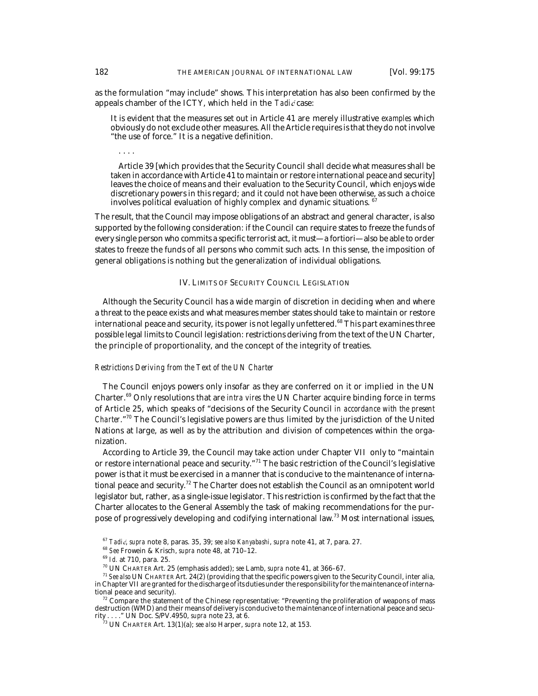as the formulation "may include" shows. This interpretation has also been confirmed by the appeals chamber of the ICTY, which held in the *Tadić* case:

It is evident that the measures set out in Article 41 are merely illustrative *examples* which obviously do not exclude other measures. All the Article requires is that they do not involve "the use of force." It is a negative definition.

. . . .

Article 39 [which provides that the Security Council shall decide what measures shall be taken in accordance with Article 41 to maintain or restore international peace and security] leaves the choice of means and their evaluation to the Security Council, which enjoys wide discretionary powers in this regard; and it could not have been otherwise, as such a choice involves political evaluation of highly complex and dynamic situations.  $67$ 

The result, that the Council may impose obligations of an abstract and general character, is also supported by the following consideration: if the Council can require states to freeze the funds of every single person who commits a specific terrorist act, it must—a fortiori—also be able to order states to freeze the funds of all persons who commit such acts. In this sense, the imposition of general obligations is nothing but the generalization of individual obligations.

#### IV. LIMITS OF SECURITY COUNCIL LEGISLATION

Although the Security Council has a wide margin of discretion in deciding when and where a threat to the peace exists and what measures member states should take to maintain or restore international peace and security, its power is not legally unfettered.<sup>68</sup> This part examines three possible legal limits to Council legislation: restrictions deriving from the text of the UN Charter, the principle of proportionality, and the concept of the integrity of treaties.

# *Restrictions Deriving from the Text of the UN Charter*

The Council enjoys powers only insofar as they are conferred on it or implied in the UN Charter.69 Only resolutions that are *intra vires* the UN Charter acquire binding force in terms of Article 25, which speaks of "decisions of the Security Council *in accordance with the present Charter*."70 The Council's legislative powers are thus limited by the jurisdiction of the United Nations at large, as well as by the attribution and division of competences within the organization.

According to Article 39, the Council may take action under Chapter VII only to "maintain or restore international peace and security."<sup>71</sup> The basic restriction of the Council's legislative power is that it must be exercised in a manner that is conducive to the maintenance of international peace and security.<sup>72</sup> The Charter does not establish the Council as an omnipotent world legislator but, rather, as a single-issue legislator. This restriction is confirmed by the fact that the Charter allocates to the General Assembly the task of making recommendations for the purpose of progressively developing and codifying international law.73 Most international issues,

<sup>68</sup> *See* Frowein & Krisch, *supra* note 48, at 710–12.

<sup>67</sup> *Tadi*ƒ, *supra* note 8, paras. 35, 39; *see also Kanyabashi*, *supra* note 41, at 7, para. 27.

<sup>69</sup> *Id.* at 710, para. 25.

<sup>70</sup> UN CHARTER Art. 25 (emphasis added); *see* Lamb, *supra* note 41, at 366–67.

<sup>71</sup> *See also* UN CHARTER Art. 24(2) (providing that the specific powers given to the Security Council, inter alia, in Chapter VII are granted for the discharge of its duties under the responsibility for the maintenance of international peace and security).

 $72$  Compare the statement of the Chinese representative: "Preventing the proliferation of weapons of mass destruction (WMD) and their means of delivery is conducive to the maintenance of international peace and security . . . ." UN Doc. S/PV.4950, *supra* note 23, at 6.

<sup>73</sup> UN CHARTER Art. 13(1)(a); *see also* Harper, *supra* note 12, at 153.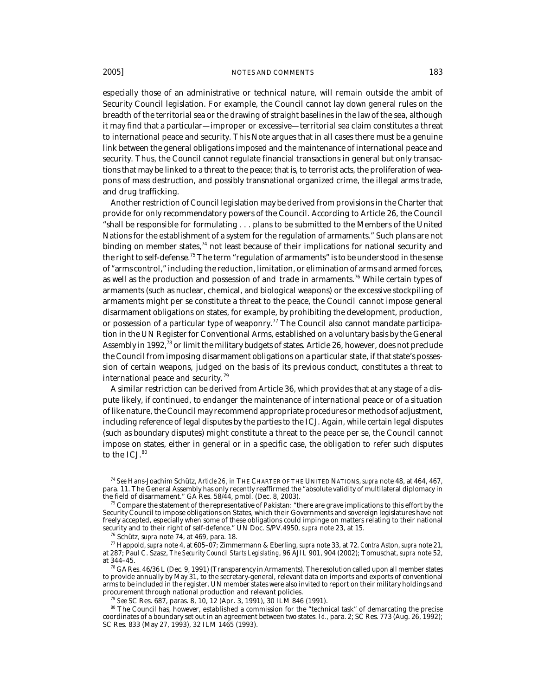especially those of an administrative or technical nature, will remain outside the ambit of Security Council legislation. For example, the Council cannot lay down general rules on the breadth of the territorial sea or the drawing of straight baselines in the law of the sea, although it may find that a particular—improper or excessive—territorial sea claim constitutes a threat to international peace and security. This Note argues that in all cases there must be a genuine link between the general obligations imposed and the maintenance of international peace and security. Thus, the Council cannot regulate financial transactions in general but only transactions that may be linked to a threat to the peace; that is, to terrorist acts, the proliferation of weapons of mass destruction, and possibly transnational organized crime, the illegal arms trade, and drug trafficking.

Another restriction of Council legislation may be derived from provisions in the Charter that provide for only recommendatory powers of the Council. According to Article 26, the Council "shall be responsible for formulating . . . plans to be submitted to the Members of the United Nations for the establishment of a system for the regulation of armaments." Such plans are not binding on member states, $74$  not least because of their implications for national security and the right to self-defense.75 The term "regulation of armaments" is to be understood in the sense of "arms control," including the reduction, limitation, or elimination of arms and armed forces, as well as the production and possession of and trade in armaments.<sup>76</sup> While certain types of armaments (such as nuclear, chemical, and biological weapons) or the excessive stockpiling of armaments might per se constitute a threat to the peace, the Council cannot impose general disarmament obligations on states, for example, by prohibiting the development, production, or possession of a particular type of weaponry.<sup>77</sup> The Council also cannot mandate participation in the UN Register for Conventional Arms, established on a voluntary basis by the General Assembly in 1992,<sup>78</sup> or limit the military budgets of states. Article 26, however, does not preclude the Council from imposing disarmament obligations on a particular state, if that state's possession of certain weapons, judged on the basis of its previous conduct, constitutes a threat to international peace and security. <sup>79</sup>

A similar restriction can be derived from Article 36, which provides that at any stage of a dispute likely, if continued, to endanger the maintenance of international peace or of a situation of like nature, the Council may recommend appropriate procedures or methods of adjustment, including reference of legal disputes by the parties to the ICJ. Again, while certain legal disputes (such as boundary disputes) might constitute a threat to the peace per se, the Council cannot impose on states, either in general or in a specific case, the obligation to refer such disputes to the ICJ.<sup>80</sup>

76 Schütz, *supra* note 74, at 469, para. 18.

77 Happold, *supra* note 4, at 605–07; Zimmermann & Eberling, *supra* note 33, at 72. *Contra* Aston, *supra* note 21, at 287; Paul C. Szasz, *The Security Council Starts Legislating*, 96 AJIL 901, 904 (2002); Tomuschat, *supra* note 52, at 344–45.

<sup>78</sup> GA Res. 46/36 L (Dec. 9, 1991) (Transparency in Armaments). The resolution called upon all member states to provide annually by May 31, to the secretary-general, relevant data on imports and exports of conventional arms to be included in the register. UN member states were also invited to report on their military holdings and procurement through national production and relevant policies.

<sup>79</sup> *See* SC Res. 687, paras. 8, 10, 12 (Apr. 3, 1991), 30 ILM 846 (1991).

<sup>80</sup> The Council has, however, established a commission for the "technical task" of demarcating the precise coordinates of a boundary set out in an agreement between two states. *Id.,* para. 2; SC Res. 773 (Aug. 26, 1992); SC Res. 833 (May 27, 1993), 32 ILM 1465 (1993).

<sup>74</sup> *See* Hans-Joachim Schütz, *Article 26*, *in* THE CHARTER OF THE UNITED NATIONS, *supra* note 48, at 464, 467, para. 11. The General Assembly has only recently reaffirmed the "absolute validity of multilateral diplomacy in the field of disarmament." GA Res. 58/44, pmbl. (Dec. 8, 2003).

 $75$  Compare the statement of the representative of Pakistan: "there are grave implications to this effort by the Security Council to impose obligations on States, which their Governments and sovereign legislatures have not freely accepted, especially when some of these obligations could impinge on matters relating to their national security and to their right of self-defence." UN Doc. S/PV.4950, *supra* note 23, at 15.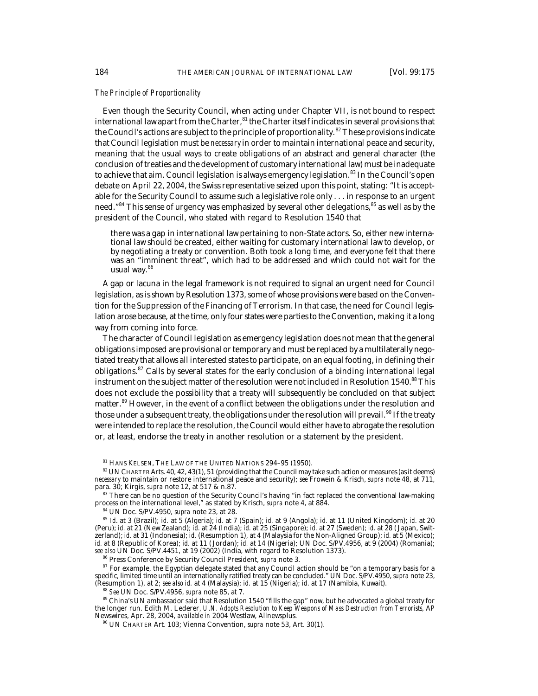### *The Principle of Proportionality*

Even though the Security Council, when acting under Chapter VII, is not bound to respect international law apart from the Charter, <sup>81</sup> the Charter itself indicates in several provisions that the Council's actions are subject to the principle of proportionality.<sup>82</sup> These provisions indicate that Council legislation must be *necessary* in order to maintain international peace and security, meaning that the usual ways to create obligations of an abstract and general character (the conclusion of treaties and the development of customary international law) must be inadequate to achieve that aim. Council legislation is always emergency legislation.<sup>83</sup> In the Council's open debate on April 22, 2004, the Swiss representative seized upon this point, stating: "It is acceptable for the Security Council to assume such a legislative role only . . . in response to an urgent need."<sup>84</sup> This sense of urgency was emphasized by several other delegations,<sup>85</sup> as well as by the president of the Council, who stated with regard to Resolution 1540 that

there was a gap in international law pertaining to non-State actors. So, either new international law should be created, either waiting for customary international law to develop, or by negotiating a treaty or convention. Both took a long time, and everyone felt that there was an "imminent threat", which had to be addressed and which could not wait for the usual way. $86$ 

A gap or lacuna in the legal framework is not required to signal an urgent need for Council legislation, as is shown by Resolution 1373, some of whose provisions were based on the Convention for the Suppression of the Financing of Terrorism. In that case, the need for Council legislation arose because, at the time, only four states were parties to the Convention, making it a long way from coming into force.

The character of Council legislation as emergency legislation does not mean that the general obligations imposed are provisional or temporary and must be replaced by a multilaterally negotiated treaty that allows all interested states to participate, on an equal footing, in defining their obligations.87 Calls by several states for the early conclusion of a binding international legal instrument on the subject matter of the resolution were not included in Resolution 1540.<sup>88</sup> This does not exclude the possibility that a treaty will subsequently be concluded on that subject matter.<sup>89</sup> However, in the event of a conflict between the obligations under the resolution and those under a subsequent treaty, the obligations under the resolution will prevail.<sup>90</sup> If the treaty were intended to replace the resolution, the Council would either have to abrogate the resolution or, at least, endorse the treaty in another resolution or a statement by the president.

 $^{81}$  HANS KELSEN, THE LAW OF THE UNITED NATIONS 294-95 (1950).

82 UN CHARTER Arts. 40, 42, 43(1), 51 (providing that the Council may take such action or measures (as it deems) *necessary* to maintain or restore international peace and security); *see* Frowein & Krisch, *supra* note 48, at 711, para. 30; Kirgis, *supra* note 12, at 517 & n.87.

83 There can be no question of the Security Council's having "in fact replaced the conventional law-making process on the international level," as stated by Krisch, *supra* note 4, at 884.

84 UN Doc. S/PV.4950, *supra* note 23, at 28.

<sup>85</sup> *Id*. at 3 (Brazil); *id.* at 5 (Algeria); *id.* at 7 (Spain); *id.* at 9 (Angola); *id.* at 11 (United Kingdom); *id.* at 20 (Peru); *id.* at 21 (New Zealand); *id.* at 24 (India); *id.* at 25 (Singapore); *id.* at 27 (Sweden); *id.* at 28 ( Japan, Switzerland); *id.* at 31 (Indonesia); *id.* (Resumption 1), at 4 (Malaysia for the Non-Aligned Group); *id.* at 5 (Mexico); *id.* at 8 (Republic of Korea); *id.* at 11 ( Jordan); *id.* at 14 (Nigeria); UN Doc. S/PV.4956, at 9 (2004) (Romania); *see also* UN Doc. S/PV.4451, at 19 (2002) (India, with regard to Resolution 1373).

<sup>86</sup> Press Conference by Security Council President, *supra* note 3.

<sup>87</sup> For example, the Egyptian delegate stated that any Council action should be "on a temporary basis for a specific, limited time until an internationally ratified treaty can be concluded." UN Doc. S/PV.4950, *supra* note 23, (Resumption 1), at 2; *see also id.* at 4 (Malaysia); *id*. at 15 (Nigeria); *id*. at 17 (Namibia, Kuwait).

<sup>88</sup> *See* UN Doc. S/PV.4956, *supra* note 85, at 7.

89 China's UN ambassador said that Resolution 1540 "fills the gap" now, but he advocated a global treaty for the longer run. Edith M. Lederer, *U.N. Adopts Resolution to Keep Weapons of Mass Destruction from Terrorists*, AP Newswires, Apr. 28, 2004, *available in* 2004 Westlaw, Allnewsplus.

<sup>90</sup> UN CHARTER Art. 103; Vienna Convention, *supra* note 53, Art. 30(1).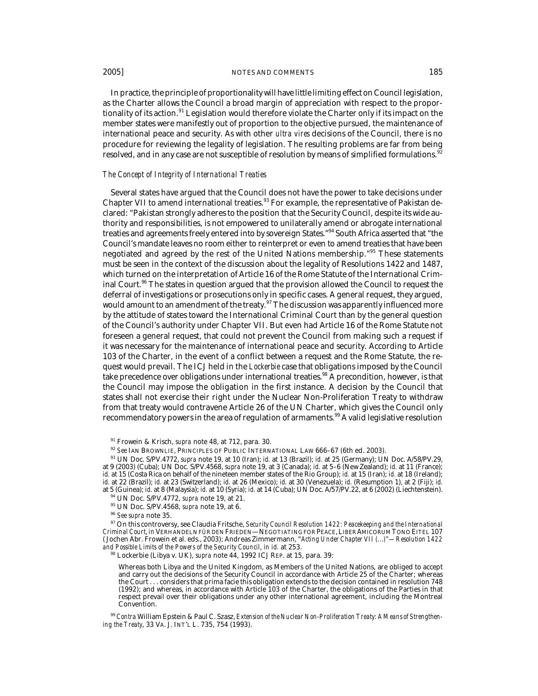In practice, the principle of proportionality will have little limiting effect on Council legislation, as the Charter allows the Council a broad margin of appreciation with respect to the proportionality of its action.<sup>91</sup> Legislation would therefore violate the Charter only if its impact on the member states were manifestly out of proportion to the objective pursued, the maintenance of international peace and security. As with other *ultra vires* decisions of the Council, there is no procedure for reviewing the legality of legislation. The resulting problems are far from being resolved, and in any case are not susceptible of resolution by means of simplified formulations.<sup>97</sup>

### *The Concept of Integrity of International Treaties*

Several states have argued that the Council does not have the power to take decisions under Chapter VII to amend international treaties.<sup>93</sup> For example, the representative of Pakistan declared: "Pakistan strongly adheres to the position that the Security Council, despite its wide authority and responsibilities, is not empowered to unilaterally amend or abrogate international treaties and agreements freely entered into by sovereign States."94 South Africa asserted that "the Council's mandate leaves no room either to reinterpret or even to amend treaties that have been negotiated and agreed by the rest of the United Nations membership."95 These statements must be seen in the context of the discussion about the legality of Resolutions 1422 and 1487, which turned on the interpretation of Article 16 of the Rome Statute of the International Criminal Court.<sup>96</sup> The states in question argued that the provision allowed the Council to request the deferral of investigations or prosecutions only in specific cases. A general request, they argued, would amount to an amendment of the treaty.<sup>97</sup> The discussion was apparently influenced more by the attitude of states toward the International Criminal Court than by the general question of the Council's authority under Chapter VII. But even had Article 16 of the Rome Statute not foreseen a general request, that could not prevent the Council from making such a request if it was necessary for the maintenance of international peace and security. According to Article 103 of the Charter, in the event of a conflict between a request and the Rome Statute, the request would prevail. The ICJ held in the *Lockerbie* case that obligations imposed by the Council take precedence over obligations under international treaties.<sup>98</sup> A precondition, however, is that the Council may impose the obligation in the first instance. A decision by the Council that states shall not exercise their right under the Nuclear Non-Proliferation Treaty to withdraw from that treaty would contravene Article 26 of the UN Charter, which gives the Council only recommendatory powers in the area of regulation of armaments.<sup>99</sup> A valid legislative resolution

97 On this controversy, see Claudia Fritsche, *Security Council Resolution 1422: Peacekeeping and the International Criminal Court*, *in* VERHANDELN FÜR DEN FRIEDEN—NEGOTIATING FOR PEACE,LIBER AMICORUM TONO EITEL 107 ( Jochen Abr. Frowein et al. eds., 2003); Andreas Zimmermann, "*Acting Under Chapter VII (...)"—Resolution 1422 and Possible Limits of the Powers of the Security Council*, *in id.* at 253.

98 Lockerbie (Libya v. UK), *supra* note 44, 1992 ICJ REP. at 15, para. 39:

Whereas both Libya and the United Kingdom, as Members of the United Nations, are obliged to accept and carry out the decisions of the Security Council in accordance with Article 25 of the Charter; whereas the Court . . . considers that prima facie this obligation extends to the decision contained in resolution 748 (1992); and whereas, in accordance with Article 103 of the Charter, the obligations of the Parties in that respect prevail over their obligations under any other international agreement, including the Montreal Convention.

<sup>99</sup> *Contra* William Epstein & Paul C. Szasz, *Extension of the Nuclear Non-Proliferation Treaty: A Means of Strengthening the Treaty*, 33 VA. J. INT'L L. 735, 754 (1993).

<sup>91</sup> Frowein & Krisch, *supra* note 48, at 712, para. 30.

<sup>92</sup> *See* IAN BROWNLIE, PRINCIPLES OF PUBLIC INTERNATIONAL LAW 666–67 (6th ed. 2003).

<sup>93</sup> UN Doc. S/PV.4772, *supra* note 19, at 10 (Iran); *id.* at 13 (Brazil); *id.* at 25 (Germany); UN Doc. A/58/PV.29, at 9 (2003) (Cuba); UN Doc. S/PV.4568, *supra* note 19, at 3 (Canada); *id.* at 5–6 (New Zealand); *id.* at 11 (France); *id.* at 15 (Costa Rica on behalf of the nineteen member states of the Rio Group); *id.* at 15 (Iran); *id.* at 18 (Ireland); *id.* at 22 (Brazil); *id.* at 23 (Switzerland); *id.* at 26 (Mexico); *id.* at 30 (Venezuela); *id.* (Resumption 1), at 2 (Fiji); *id.* at 5 (Guinea); *id.* at 8 (Malaysia); *id.* at 10 (Syria); *id.* at 14 (Cuba); UN Doc. A/57/PV.22, at 6 (2002) (Liechtenstein).

<sup>94</sup> UN Doc. S/PV.4772, *supra* note 19, at 21.

<sup>95</sup> UN Doc. S/PV.4568, *supra* note 19, at 6.

<sup>96</sup> *See supra* note 35.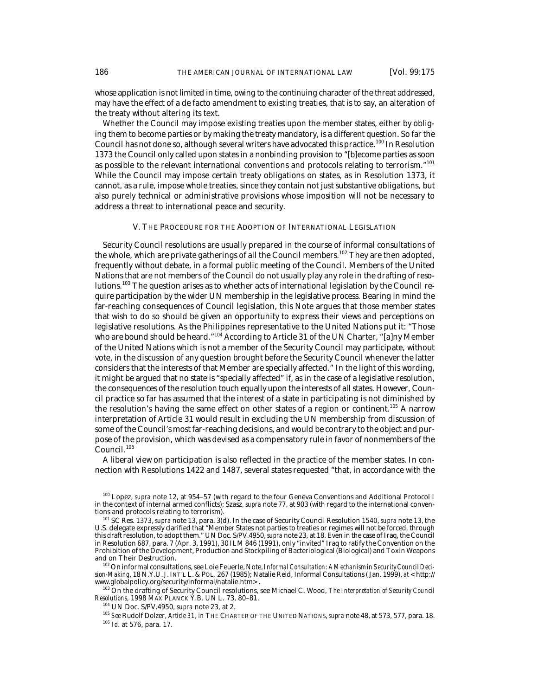whose application is not limited in time, owing to the continuing character of the threat addressed, may have the effect of a de facto amendment to existing treaties, that is to say, an alteration of the treaty without altering its text.

Whether the Council may impose existing treaties upon the member states, either by obliging them to become parties or by making the treaty mandatory, is a different question. So far the Council has not done so, although several writers have advocated this practice.<sup>100</sup> In Resolution 1373 the Council only called upon states in a nonbinding provision to "[b]ecome parties as soon as possible to the relevant international conventions and protocols relating to terrorism."<sup>101</sup> While the Council may impose certain treaty obligations on states, as in Resolution 1373, it cannot, as a rule, impose whole treaties, since they contain not just substantive obligations, but also purely technical or administrative provisions whose imposition will not be necessary to address a threat to international peace and security.

#### V. THE PROCEDURE FOR THE ADOPTION OF INTERNATIONAL LEGISLATION

Security Council resolutions are usually prepared in the course of informal consultations of the whole, which are private gatherings of all the Council members.<sup>102</sup> They are then adopted, frequently without debate, in a formal public meeting of the Council. Members of the United Nations that are not members of the Council do not usually play any role in the drafting of resolutions.103 The question arises as to whether acts of international legislation by the Council require participation by the wider UN membership in the legislative process. Bearing in mind the far-reaching consequences of Council legislation, this Note argues that those member states that wish to do so should be given an opportunity to express their views and perceptions on legislative resolutions. As the Philippines representative to the United Nations put it: "Those who are bound should be heard."<sup>104</sup> According to Article 31 of the UN Charter, "[a]ny Member of the United Nations which is not a member of the Security Council may participate, without vote, in the discussion of any question brought before the Security Council whenever the latter considers that the interests of that Member are specially affected." In the light of this wording, it might be argued that no state is "specially affected" if, as in the case of a legislative resolution, the consequences of the resolution touch equally upon the interests of all states. However, Council practice so far has assumed that the interest of a state in participating is not diminished by the resolution's having the same effect on other states of a region or continent.<sup>105</sup> A narrow interpretation of Article 31 would result in excluding the UN membership from discussion of some of the Council's most far-reaching decisions, and would be contrary to the object and purpose of the provision, which was devised as a compensatory rule in favor of nonmembers of the Council.<sup>106</sup>

A liberal view on participation is also reflected in the practice of the member states. In connection with Resolutions 1422 and 1487, several states requested "that, in accordance with the

<sup>100</sup> Lopez, *supra* note 12, at 954-57 (with regard to the four Geneva Conventions and Additional Protocol I in the context of internal armed conflicts); Szasz, *supra* note 77, at 903 (with regard to the international conventions and protocols relating to terrorism).

<sup>3</sup> On the drafting of Security Council resolutions, see Michael C. Wood, *The Interpretation of Security Council Resolutions*, 1998 MAX PLANCK Y.B. UN L. 73, 80–81.

<sup>101</sup> SC Res. 1373, *supra* note 13, para. 3(d). In the case of Security Council Resolution 1540, *supra* note 13, the U.S. delegate expressly clarified that "Member States not parties to treaties or regimes will not be forced, through this draft resolution, to adopt them." UN Doc. S/PV.4950, *supra* note 23, at 18. Even in the case of Iraq, the Council in Resolution 687, para. 7 (Apr. 3, 1991), 30 ILM 846 (1991), only "invited" Iraq to ratify the Convention on the Prohibition of the Development, Production and Stockpiling of Bacteriological (Biological) and Toxin Weapons and on Their Destruction.

<sup>102</sup> On informal consultations, see Loie Feuerle, Note, *Informal Consultation: A Mechanism in Security Council Decision-Making*, 18 N.Y.U. J.INT'L L. & POL. 267 (1985); Natalie Reid, Informal Consultations ( Jan. 1999), *at* <http:// www.globalpolicy.org/security/informal/natalie.htm>.

<sup>104</sup> UN Doc. S/PV.4950, *supra* note 23, at 2.

<sup>105</sup> *See* Rudolf Dolzer, *Article 31*, *in* THE CHARTER OF THE UNITED NATIONS, *supra* note 48, at 573, 577, para. 18. <sup>106</sup> *Id.* at 576, para. 17.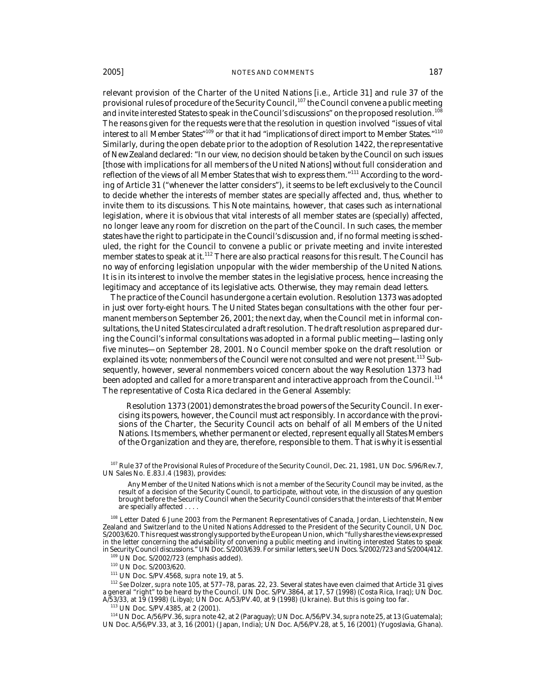relevant provision of the Charter of the United Nations [i.e., Article 31] and rule 37 of the provisional rules of procedure of the Security Council, <sup>107</sup> the Council convene a public meeting and invite interested States to speak in the Council's discussions" on the proposed resolution.<sup>108</sup> The reasons given for the requests were that the resolution in question involved "issues of vital interest to *all* Member States<sup>"109</sup> or that it had "implications of direct import to Member States."<sup>110</sup> Similarly, during the open debate prior to the adoption of Resolution 1422, the representative of New Zealand declared: "In our view, no decision should be taken by the Council on such issues [those with implications for all members of the United Nations] without full consideration and reflection of the views of all Member States that wish to express them."111 According to the wording of Article 31 ("whenever the latter considers"), it seems to be left exclusively to the Council to decide whether the interests of member states are specially affected and, thus, whether to invite them to its discussions. This Note maintains, however, that cases such as international legislation, where it is obvious that vital interests of all member states are (specially) affected, no longer leave any room for discretion on the part of the Council. In such cases, the member states have the right to participate in the Council's discussion and, if no formal meeting is scheduled, the right for the Council to convene a public or private meeting and invite interested member states to speak at it.<sup>112</sup> There are also practical reasons for this result. The Council has no way of enforcing legislation unpopular with the wider membership of the United Nations. It is in its interest to involve the member states in the legislative process, hence increasing the legitimacy and acceptance of its legislative acts. Otherwise, they may remain dead letters.

The practice of the Council has undergone a certain evolution. Resolution 1373 was adopted in just over forty-eight hours. The United States began consultations with the other four permanent members on September 26, 2001; the next day, when the Council met in informal consultations, the United States circulated a draft resolution. The draft resolution as prepared during the Council's informal consultations was adopted in a formal public meeting—lasting only five minutes—on September 28, 2001. No Council member spoke on the draft resolution or explained its vote; nonmembers of the Council were not consulted and were not present.<sup>113</sup> Subsequently, however, several nonmembers voiced concern about the way Resolution 1373 had been adopted and called for a more transparent and interactive approach from the Council.<sup>114</sup> The representative of Costa Rica declared in the General Assembly:

Resolution 1373 (2001) demonstrates the broad powers of the Security Council. In exercising its powers, however, the Council must act responsibly. In accordance with the provisions of the Charter, the Security Council acts on behalf of all Members of the United Nations. Its members, whether permanent or elected, represent equally all States Members of the Organization and they are, therefore, responsible to them. That is why it is essential

107 Rule 37 of the Provisional Rules of Procedure of the Security Council, Dec. 21, 1981, UN Doc. S/96/Rev.7, UN Sales No. E.83.I.4 (1983), provides:

 Any Member of the United Nations which is not a member of the Security Council may be invited, as the result of a decision of the Security Council, to participate, without vote, in the discussion of any question brought before the Security Council when the Security Council considers that the interests of that Member are specially affected . . . .

<sup>108</sup> Letter Dated 6 June 2003 from the Permanent Representatives of Canada, Jordan, Liechtenstein, New Zealand and Switzerland to the United Nations Addressed to the President of the Security Council, UN Doc. S/2003/620. This request was strongly supported by the European Union, which "fully shares the views expressed in the letter concerning the advisability of convening a public meeting and inviting interested States to speak in Security Council discussions." UN Doc. S/2003/639. For similar letters, see UN Docs. S/2002/723 and S/2004/412.

109 UN Doc. S/2002/723 (emphasis added).

110 UN Doc. S/2003/620.

111 UN Doc. S/PV.4568, *supra* note 19, at 5.

<sup>112</sup> *See* Dolzer, *supra* note 105, at 577–78, paras. 22, 23. Several states have even claimed that Article 31 gives a general "right" to be heard by the Council. UN Doc. S/PV.3864, at 17, 57 (1998) (Costa Rica, Iraq); UN Doc. A/53/33, at 19 (1998) (Libya); UN Doc. A/53/PV.40, at 9 (1998) (Ukraine). But this is going too far.

<sup>113</sup> UN Doc. S/PV.4385, at 2 (2001).

<sup>114</sup> UN Doc. A/56/PV.36, *supra* note 42, at 2 (Paraguay); UN Doc. A/56/PV.34, *supra* note 25, at 13 (Guatemala); UN Doc. A/56/PV.33, at 3, 16 (2001) ( Japan, India); UN Doc. A/56/PV.28, at 5, 16 (2001) (Yugoslavia, Ghana).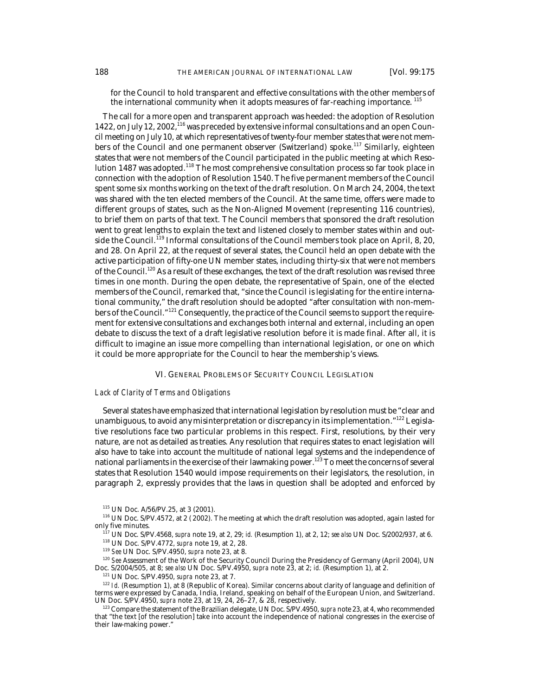for the Council to hold transparent and effective consultations with the other members of the international community when it adopts measures of far-reaching importance.<sup>1</sup>

The call for a more open and transparent approach was heeded: the adoption of Resolution 1422, on July 12, 2002, <sup>116</sup> was preceded by extensive informal consultations and an open Council meeting on July 10, at which representatives of twenty-four member states that were not members of the Council and one permanent observer (Switzerland) spoke.117 Similarly, eighteen states that were not members of the Council participated in the public meeting at which Resolution 1487 was adopted.<sup>118</sup> The most comprehensive consultation process so far took place in connection with the adoption of Resolution 1540. The five permanent members of the Council spent some six months working on the text of the draft resolution. On March 24, 2004, the text was shared with the ten elected members of the Council. At the same time, offers were made to different groups of states, such as the Non-Aligned Movement (representing 116 countries), to brief them on parts of that text. The Council members that sponsored the draft resolution went to great lengths to explain the text and listened closely to member states within and outside the Council.119 Informal consultations of the Council members took place on April, 8, 20, and 28. On April 22, at the request of several states, the Council held an open debate with the active participation of fifty-one UN member states, including thirty-six that were not members of the Council.<sup>120</sup> As a result of these exchanges, the text of the draft resolution was revised three times in one month. During the open debate, the representative of Spain, one of the elected members of the Council, remarked that, "since the Council is legislating for the entire international community," the draft resolution should be adopted "after consultation with non-members of the Council."<sup>121</sup> Consequently, the practice of the Council seems to support the requirement for extensive consultations and exchanges both internal and external, including an open debate to discuss the text of a draft legislative resolution before it is made final. After all, it is difficult to imagine an issue more compelling than international legislation, or one on which it could be more appropriate for the Council to hear the membership's views.

## VI. GENERAL PROBLEMS OF SECURITY COUNCIL LEGISLATION

# *Lack of Clarity of Terms and Obligations*

Several states have emphasized that international legislation by resolution must be "clear and unambiguous, to avoid any misinterpretation or discrepancy in its implementation.<sup>"122</sup> Legislative resolutions face two particular problems in this respect. First, resolutions, by their very nature, are not as detailed as treaties. Any resolution that requires states to enact legislation will also have to take into account the multitude of national legal systems and the independence of national parliaments in the exercise of their lawmaking power.<sup>123</sup> To meet the concerns of several states that Resolution 1540 would impose requirements on their legislators, the resolution, in paragraph 2, expressly provides that the laws in question shall be adopted and enforced by

<sup>117</sup> UN Doc. S/PV.4568, *supra* note 19, at 2, 29; *id.* (Resumption 1), at 2, 12; *see also* UN Doc. S/2002/937, at 6.

<sup>120</sup> See Assessment of the Work of the Security Council During the Presidency of Germany (April 2004), UN Doc. S/2004/505, at 8; *see also* UN Doc. S/PV.4950, *supra* note 23, at 2; *id.* (Resumption 1), at 2.

121 UN Doc. S/PV.4950, *supra* note 23, at 7.

<sup>122</sup> Id. (Resumption 1), at 8 (Republic of Korea). Similar concerns about clarity of language and definition of terms were expressed by Canada, India, Ireland, speaking on behalf of the European Union, and Switzerland. UN Doc. S/PV.4950, *supra* note 23, at 19, 24, 26–27, & 28, respectively.

<sup>115</sup> UN Doc. A/56/PV.25, at 3 (2001).

<sup>116</sup> UN Doc. S/PV.4572, at 2 ( 2002). The meeting at which the draft resolution was adopted, again lasted for only five minutes.

<sup>118</sup> UN Doc. S/PV.4772, *supra* note 19, at 2, 28.

<sup>119</sup> *See* UN Doc. S/PV.4950, *supra* note 23, at 8.

<sup>123</sup> Compare the statement of the Brazilian delegate, UN Doc. S/PV.4950, *supra* note 23, at 4, who recommended that "the text [of the resolution] take into account the independence of national congresses in the exercise of their law-making power."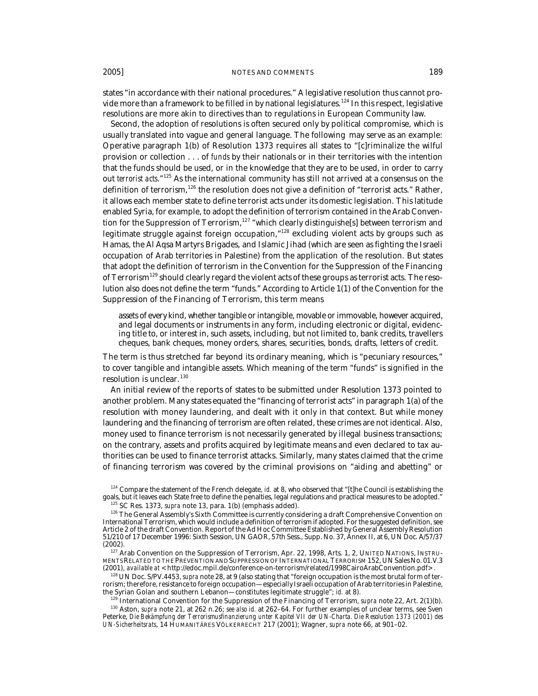states "in accordance with their national procedures." A legislative resolution thus cannot provide more than a framework to be filled in by national legislatures.<sup>124</sup> In this respect, legislative resolutions are more akin to directives than to regulations in European Community law.

Second, the adoption of resolutions is often secured only by political compromise, which is usually translated into vague and general language. The following may serve as an example: Operative paragraph 1(b) of Resolution 1373 requires all states to "[c]riminalize the wilful provision or collection . . . of *funds* by their nationals or in their territories with the intention that the funds should be used, or in the knowledge that they are to be used, in order to carry out *terrorist acts*."125 As the international community has still not arrived at a consensus on the definition of terrorism.<sup>126</sup> the resolution does not give a definition of "terrorist acts." Rather, it allows each member state to define terrorist acts under its domestic legislation. This latitude enabled Syria, for example, to adopt the definition of terrorism contained in the Arab Convention for the Suppression of Terrorism,<sup>127</sup> "which clearly distinguishe[s] between terrorism and legitimate struggle against foreign occupation,"<sup>128</sup> excluding violent acts by groups such as Hamas, the Al Aqsa Martyrs Brigades, and Islamic Jihad (which are seen as fighting the Israeli occupation of Arab territories in Palestine) from the application of the resolution. But states that adopt the definition of terrorism in the Convention for the Suppression of the Financing of Terrorism<sup>129</sup> should clearly regard the violent acts of these groups as terrorist acts. The resolution also does not define the term "funds." According to Article 1(1) of the Convention for the Suppression of the Financing of Terrorism, this term means

assets of every kind, whether tangible or intangible, movable or immovable, however acquired, and legal documents or instruments in any form, including electronic or digital, evidencing title to, or interest in, such assets, including, but not limited to, bank credits, travellers cheques, bank cheques, money orders, shares, securities, bonds, drafts, letters of credit.

The term is thus stretched far beyond its ordinary meaning, which is "pecuniary resources," to cover tangible and intangible assets. Which meaning of the term "funds" is signified in the resolution is unclear.<sup>130</sup>

An initial review of the reports of states to be submitted under Resolution 1373 pointed to another problem. Many states equated the "financing of terrorist acts" in paragraph 1(a) of the resolution with money laundering, and dealt with it only in that context. But while money laundering and the financing of terrorism are often related, these crimes are not identical. Also, money used to finance terrorism is not necessarily generated by illegal business transactions; on the contrary, assets and profits acquired by legitimate means and even declared to tax authorities can be used to finance terrorist attacks. Similarly, many states claimed that the crime of financing terrorism was covered by the criminal provisions on "aiding and abetting" or

 $124$  Compare the statement of the French delegate, *id.* at 8, who observed that "[t]he Council is establishing the goals, but it leaves each State free to define the penalties, legal regulations and practical measures to be adopted." 125 SC Res. 1373, *supra* note 13, para. 1(b) (emphasis added).

<sup>&</sup>lt;sup>126</sup> The General Assembly's Sixth Committee is currently considering a draft Comprehensive Convention on International Terrorism, which would include a definition of terrorism if adopted. For the suggested definition, see Article 2 of the draft Convention. Report of the Ad Hoc Committee Established by General Assembly Resolution 51/210 of 17 December 1996: Sixth Session, UN GAOR, 57th Sess., Supp. No. 37, Annex II, at 6, UN Doc. A/57/37

<sup>&</sup>lt;sup>127</sup> Arab Convention on the Suppression of Terrorism, Apr. 22, 1998, Arts. 1, 2, UNITED NATIONS, INSTRU-MENTS RELATED TO THE PREVENTION AND SUPPRESSION OF INTERNATIONAL TERRORISM 152, UN Sales No. 01.V.3 (2001), *available at* < http://edoc.mpil.de/conference-on-terrorism/related/1998CairoArabConvention.pdf>.

<sup>128</sup> UN Doc. S/PV.4453, *supra* note 28, at 9 (also stating that "foreign occupation is the most brutal form of terrorism; therefore, resistance to foreign occupation—especially Israeli occupation of Arab territories in Palestine, the Syrian Golan and southern Lebanon—constitutes legitimate struggle"; *id.* at 8).

<sup>&</sup>lt;sup>129</sup> International Convention for the Suppression of the Financing of Terrorism, *supra* note 22, Art. 2(1)(b).

<sup>130</sup> Aston, *supra* note 21, at 262 n.26; *see also id.* at 262–64. For further examples of unclear terms, see Sven Peterke, *Die Bekämpfung der Terrorismusfinanzierung unter Kapitel VII der UN-Charta. Die Resolution 1373 (2001) des UN-Sicherheitsrats*, 14 HUMANITÄRES VÖLKERRECHT 217 (2001); Wagner, *supra* note 66, at 901–02.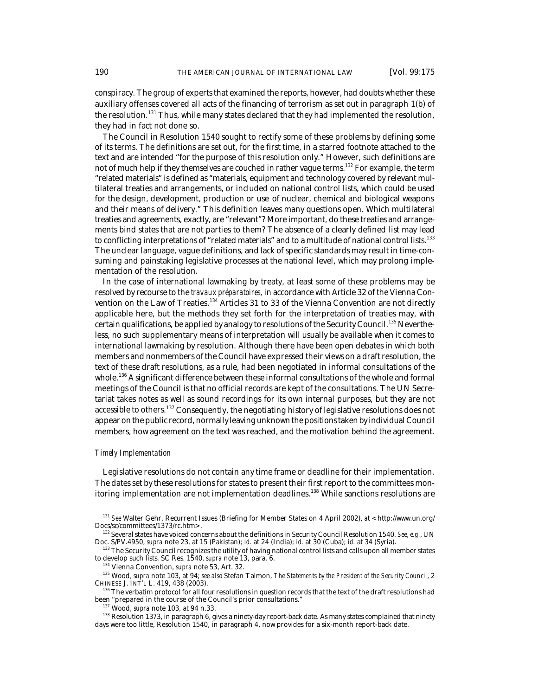conspiracy. The group of experts that examined the reports, however, had doubts whether these auxiliary offenses covered all acts of the financing of terrorism as set out in paragraph 1(b) of the resolution.<sup>131</sup> Thus, while many states declared that they had implemented the resolution, they had in fact not done so.

The Council in Resolution 1540 sought to rectify some of these problems by defining some of its terms. The definitions are set out, for the first time, in a starred footnote attached to the text and are intended "for the purpose of this resolution only." However, such definitions are not of much help if they themselves are couched in rather vague terms.<sup>132</sup> For example, the term "related materials" is defined as "materials, equipment and technology covered by relevant multilateral treaties and arrangements, or included on national control lists, which could be used for the design, development, production or use of nuclear, chemical and biological weapons and their means of delivery." This definition leaves many questions open. Which multilateral treaties and agreements, exactly, are "relevant"? More important, do these treaties and arrangements bind states that are not parties to them? The absence of a clearly defined list may lead to conflicting interpretations of "related materials" and to a multitude of national control lists.<sup>133</sup> The unclear language, vague definitions, and lack of specific standards may result in time-consuming and painstaking legislative processes at the national level, which may prolong implementation of the resolution.

In the case of international lawmaking by treaty, at least some of these problems may be resolved by recourse to the *travaux préparatoires*, in accordance with Article 32 of the Vienna Convention on the Law of Treaties.<sup>134</sup> Articles 31 to 33 of the Vienna Convention are not directly applicable here, but the methods they set forth for the interpretation of treaties may, with certain qualifications, be applied by analogy to resolutions of the Security Council.<sup>135</sup> Nevertheless, no such supplementary means of interpretation will usually be available when it comes to international lawmaking by resolution. Although there have been open debates in which both members and nonmembers of the Council have expressed their views on a draft resolution, the text of these draft resolutions, as a rule, had been negotiated in informal consultations of the whole.<sup>136</sup> A significant difference between these informal consultations of the whole and formal meetings of the Council is that no official records are kept of the consultations. The UN Secretariat takes notes as well as sound recordings for its own internal purposes, but they are not accessible to others.<sup>137</sup> Consequently, the negotiating history of legislative resolutions does not appear on the public record, normally leaving unknown the positions taken by individual Council members, how agreement on the text was reached, and the motivation behind the agreement.

### *Timely Implementation*

Legislative resolutions do not contain any time frame or deadline for their implementation. The dates set by these resolutions for states to present their first report to the committees monitoring implementation are not implementation deadlines.<sup>138</sup> While sanctions resolutions are

<sup>131</sup> See Walter Gehr, Recurrent Issues (Briefing for Member States on 4 April 2002), *at* < http://www.un.org/ Docs/sc/committees/1373/rc.htm>.

132 Several states have voiced concerns about the definitions in Security Council Resolution 1540. *See, e.g.*, UN Doc. S/PV.4950, *supra* note 23, at 15 (Pakistan); *id.* at 24 (India); *id.* at 30 (Cuba); *id.* at 34 (Syria).

 $^{133}$  The Security Council recognizes the utility of having national control lists and calls upon all member states to develop such lists. SC Res. 1540, *supra* note 13, para. 6.

134 Vienna Convention, *supra* note 53, Art. 32.

135 Wood, *supra* note 103, at 94; *see also* Stefan Talmon, *The Statements by the President of the Security Council*, 2 CHINESE J. INT'L L. 419, 438 (2003).

 $^{136}$  The verbatim protocol for all four resolutions in question records that the text of the draft resolutions had been "prepared in the course of the Council's prior consultations."

137 Wood, *supra* note 103, at 94 n.33.

<sup>138</sup> Resolution 1373, in paragraph 6, gives a ninety-day report-back date. As many states complained that ninety days were too little, Resolution 1540, in paragraph 4, now provides for a six-month report-back date.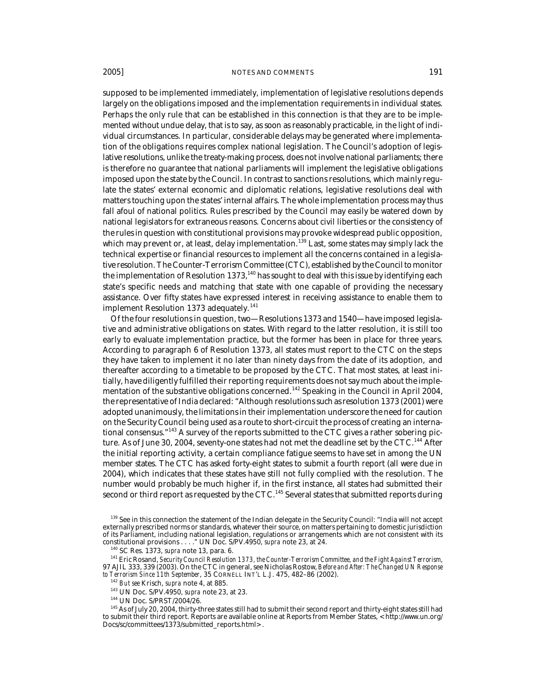supposed to be implemented immediately, implementation of legislative resolutions depends largely on the obligations imposed and the implementation requirements in individual states. Perhaps the only rule that can be established in this connection is that they are to be implemented without undue delay, that is to say, as soon as reasonably practicable, in the light of individual circumstances. In particular, considerable delays may be generated where implementation of the obligations requires complex national legislation. The Council's adoption of legislative resolutions, unlike the treaty-making process, does not involve national parliaments; there is therefore no guarantee that national parliaments will implement the legislative obligations imposed upon the state by the Council. In contrast to sanctions resolutions, which mainly regulate the states' external economic and diplomatic relations, legislative resolutions deal with matters touching upon the states' internal affairs. The whole implementation process may thus fall afoul of national politics. Rules prescribed by the Council may easily be watered down by national legislators for extraneous reasons. Concerns about civil liberties or the consistency of the rules in question with constitutional provisions may provoke widespread public opposition, which may prevent or, at least, delay implementation.<sup>139</sup> Last, some states may simply lack the technical expertise or financial resources to implement all the concerns contained in a legislative resolution. The Counter-Terrorism Committee (CTC), established by the Council to monitor the implementation of Resolution 1373,<sup>140</sup> has sought to deal with this issue by identifying each state's specific needs and matching that state with one capable of providing the necessary assistance. Over fifty states have expressed interest in receiving assistance to enable them to implement Resolution 1373 adequately.<sup>141</sup>

Of the four resolutions in question, two—Resolutions 1373 and 1540—have imposed legislative and administrative obligations on states. With regard to the latter resolution, it is still too early to evaluate implementation practice, but the former has been in place for three years. According to paragraph 6 of Resolution 1373, all states must report to the CTC on the steps they have taken to implement it no later than ninety days from the date of its adoption, and thereafter according to a timetable to be proposed by the CTC. That most states, at least initially, have diligently fulfilled their reporting requirements does not say much about the implementation of the substantive obligations concerned.<sup>142</sup> Speaking in the Council in April 2004, the representative of India declared: "Although resolutions such as resolution 1373 (2001) were adopted unanimously, the limitations in their implementation underscore the need for caution on the Security Council being used as a route to short-circuit the process of creating an international consensus."143 A survey of the reports submitted to the CTC gives a rather sobering picture. As of June 30, 2004, seventy-one states had not met the deadline set by the CTC.<sup>144</sup> After the initial reporting activity, a certain compliance fatigue seems to have set in among the UN member states. The CTC has asked forty-eight states to submit a fourth report (all were due in 2004), which indicates that these states have still not fully complied with the resolution. The number would probably be much higher if, in the first instance, all states had submitted their second or third report as requested by the CTC.<sup>145</sup> Several states that submitted reports during

<sup>&</sup>lt;sup>139</sup> See in this connection the statement of the Indian delegate in the Security Council: "India will not accept externally prescribed norms or standards, whatever their source, on matters pertaining to domestic jurisdiction of its Parliament, including national legislation, regulations or arrangements which are not consistent with its constitutional provisions . . . ." UN Doc. S/PV.4950, *supra* note 23, at 24.

<sup>140</sup> SC Res. 1373, *supra* note 13, para. 6.

<sup>141</sup> Eric Rosand, *Security Council Resolution 1373, the Counter-Terrorism Committee, and the Fight Against Terrorism*, 97 AJIL 333, 339 (2003). On the CTC in general, see Nicholas Rostow, *Before and After: The Changed UN Response to Terrorism Since 11th September*, 35 CORNELL INT'L L.J. 475, 482–86 (2002).

<sup>142</sup> *But see* Krisch, *supra* note 4, at 885.

<sup>143</sup> UN Doc. S/PV.4950, *supra* note 23, at 23.

<sup>144</sup> UN Doc. S/PRST/2004/26.

<sup>&</sup>lt;sup>145</sup> As of July 20, 2004, thirty-three states still had to submit their second report and thirty-eight states still had to submit their third report. Reports are available online at Reports from Member States, < http://www.un.org/ Docs/sc/committees/1373/submitted\_reports.html>.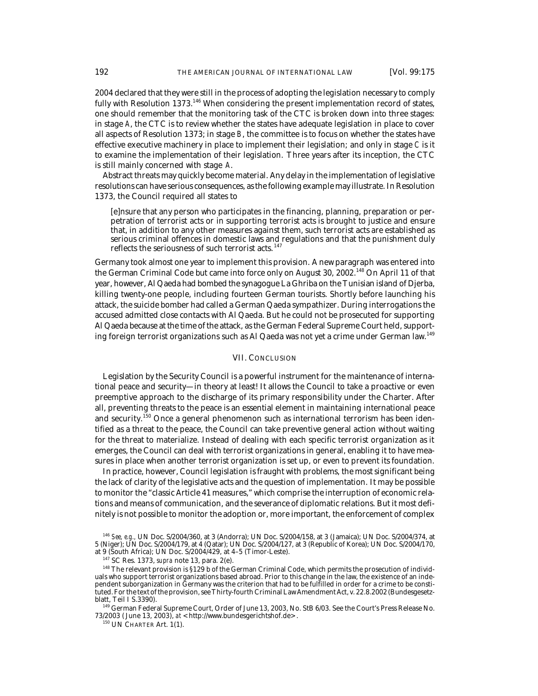2004 declared that they were still in the process of adopting the legislation necessary to comply fully with Resolution 1373.<sup>146</sup> When considering the present implementation record of states, one should remember that the monitoring task of the CTC is broken down into three stages: in stage *A*, the CTC is to review whether the states have adequate legislation in place to cover all aspects of Resolution 1373; in stage *B*, the committee is to focus on whether the states have effective executive machinery in place to implement their legislation; and only in stage *C* is it to examine the implementation of their legislation. Three years after its inception, the CTC is still mainly concerned with stage *A*.

Abstract threats may quickly become material. Any delay in the implementation of legislative resolutions can have serious consequences, as the following example may illustrate. In Resolution 1373, the Council required all states to

[e]nsure that any person who participates in the financing, planning, preparation or perpetration of terrorist acts or in supporting terrorist acts is brought to justice and ensure that, in addition to any other measures against them, such terrorist acts are established as serious criminal offences in domestic laws and regulations and that the punishment duly reflects the seriousness of such terrorist acts.<sup>147</sup>

Germany took almost one year to implement this provision. A new paragraph was entered into the German Criminal Code but came into force only on August 30, 2002.<sup>148</sup> On April 11 of that year, however, Al Qaeda had bombed the synagogue La Ghriba on the Tunisian island of Djerba, killing twenty-one people, including fourteen German tourists. Shortly before launching his attack, the suicide bomber had called a German Qaeda sympathizer. During interrogations the accused admitted close contacts with Al Qaeda. But he could not be prosecuted for supporting Al Qaeda because at the time of the attack, as the German Federal Supreme Court held, supporting foreign terrorist organizations such as Al Qaeda was not yet a crime under German law.<sup>149</sup>

## VII. CONCLUSION

Legislation by the Security Council is a powerful instrument for the maintenance of international peace and security—in theory at least! It allows the Council to take a proactive or even preemptive approach to the discharge of its primary responsibility under the Charter. After all, preventing threats to the peace is an essential element in maintaining international peace and security.<sup>150</sup> Once a general phenomenon such as international terrorism has been identified as a threat to the peace, the Council can take preventive general action without waiting for the threat to materialize. Instead of dealing with each specific terrorist organization as it emerges, the Council can deal with terrorist organizations in general, enabling it to have measures in place when another terrorist organization is set up, or even to prevent its foundation.

In practice, however, Council legislation is fraught with problems, the most significant being the lack of clarity of the legislative acts and the question of implementation. It may be possible to monitor the "classic Article 41 measures," which comprise the interruption of economic relations and means of communication, and the severance of diplomatic relations. But it most definitely is not possible to monitor the adoption or, more important, the enforcement of complex

<sup>150</sup> UN CHARTER Art. 1(1).

<sup>146</sup> *See, e.g.,* UN Doc. S/2004/360, at 3 (Andorra); UN Doc. S/2004/158, at 3 (Jamaica); UN Doc. S/2004/374, at 5 (Niger); UN Doc. S/2004/179, at 4 (Qatar); UN Doc. S/2004/127, at 3 (Republic of Korea); UN Doc. S/2004/170, at 9 (South Africa); UN Doc. S/2004/429, at 4–5 (Timor-Leste).

<sup>147</sup> SC Res. 1373, *supra* note 13, para. 2(e).

<sup>&</sup>lt;sup>148</sup> The relevant provision is §129 b of the German Criminal Code, which permits the prosecution of individuals who support terrorist organizations based abroad. Prior to this change in the law, the existence of an independent suborganization in Germany was the criterion that had to be fulfilled in order for a crime to be constituted. For the text of the provision, see Thirty-fourth Criminal Law Amendment Act, v. 22.8.2002 (Bundesgesetzblatt, Teil I S.3390).

<sup>149</sup> German Federal Supreme Court, Order of June 13, 2003, No. StB 6/03. See the Court's Press Release No. 73/2003 ( June 13, 2003), *at* <http://www.bundesgerichtshof.de>.